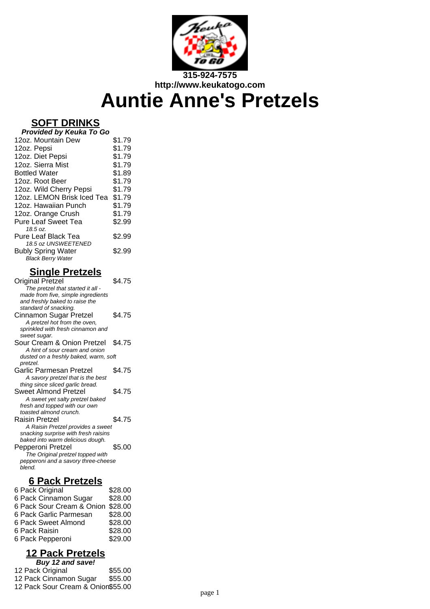

# **Auntie Anne's Pretzels**

# **SOFT DRINKS**

| Provided by Keuka To Go    |        |
|----------------------------|--------|
| 12oz. Mountain Dew         | \$1.79 |
| 12oz. Pepsi                | \$1.79 |
| 12oz. Diet Pepsi           | \$1.79 |
| 12oz. Sierra Mist          | \$1.79 |
| <b>Bottled Water</b>       | \$1.89 |
| 12oz. Root Beer            | \$1.79 |
| 12oz. Wild Cherry Pepsi    | \$1.79 |
| 12oz. LEMON Brisk Iced Tea | \$1.79 |
| 12oz. Hawaiian Punch       | \$1.79 |
| 12oz. Orange Crush         | \$1.79 |
| <b>Pure Leaf Sweet Tea</b> | \$2.99 |
| 18.5 oz.                   |        |
| Pure Leaf Black Tea        | \$2.99 |
| 18.5 oz UNSWEETENED        |        |
| <b>Bubly Spring Water</b>  | \$2.99 |
| <b>Black Berry Water</b>   |        |

# **Single Pretzels**

| <b>Original Pretzel</b>               | \$4.75 |
|---------------------------------------|--------|
|                                       |        |
| The pretzel that started it all -     |        |
| made from five, simple ingredients    |        |
| and freshly baked to raise the        |        |
| standard of snacking.                 |        |
| Cinnamon Sugar Pretzel                | \$4.75 |
| A pretzel hot from the oven,          |        |
| sprinkled with fresh cinnamon and     |        |
| sweet sugar.                          |        |
| Sour Cream & Onion Pretzel            | \$4.75 |
| A hint of sour cream and onion        |        |
| dusted on a freshly baked, warm, soft |        |
| pretzel.                              |        |
| Garlic Parmesan Pretzel               | \$4.75 |
| A savory pretzel that is the best     |        |
| thing since sliced garlic bread.      |        |
| Sweet Almond Pretzel                  | \$4.75 |
|                                       |        |
| A sweet yet salty pretzel baked       |        |
| fresh and topped with our own         |        |
| toasted almond crunch.                |        |
| Raisin Pretzel                        | \$4.75 |
| A Raisin Pretzel provides a sweet     |        |
| snacking surprise with fresh raisins  |        |
| baked into warm delicious dough.      |        |
| Pepperoni Pretzel                     | \$5.00 |
| The Original pretzel topped with      |        |
| pepperoni and a savory three-cheese   |        |
| blend.                                |        |
|                                       |        |

# **6 Pack Pretzels**

| 6 Pack Original                   | \$28.00 |
|-----------------------------------|---------|
| 6 Pack Cinnamon Sugar             | \$28.00 |
| 6 Pack Sour Cream & Onion \$28.00 |         |
| 6 Pack Garlic Parmesan            | \$28.00 |
| 6 Pack Sweet Almond               | \$28.00 |
| 6 Pack Raisin                     | \$28.00 |
| 6 Pack Pepperoni                  | \$29.00 |

# **12 Pack Pretzels**

| Buy 12 and save!                  |         |
|-----------------------------------|---------|
| 12 Pack Original                  | \$55.00 |
| 12 Pack Cinnamon Sugar            | \$55.00 |
| 12 Pack Sour Cream & Onion\$55.00 |         |